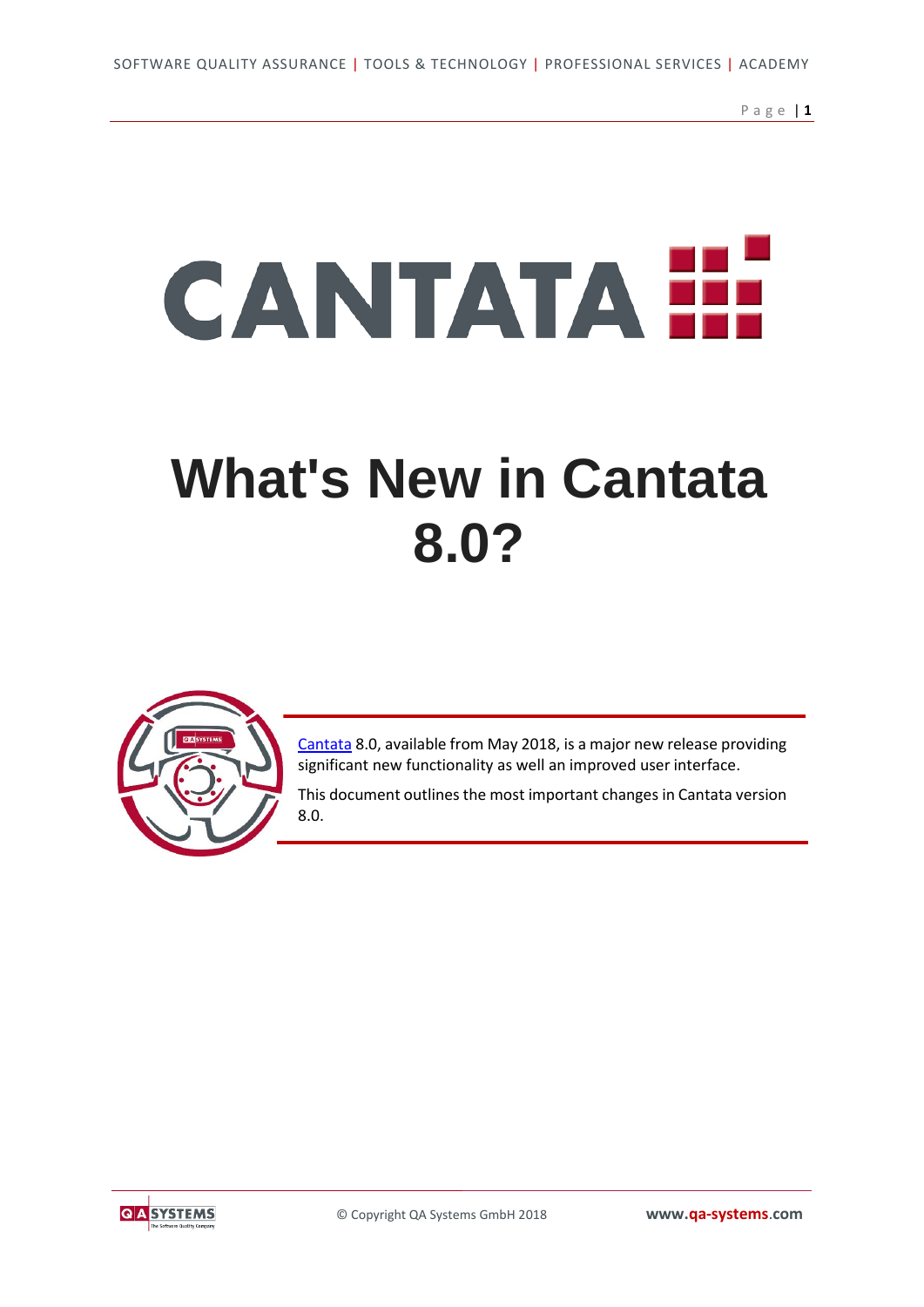Page | **1**

# CANTATA E

## **[What's New in Cantata](https://www.qa-systems.com/news/detail/qa-systems-announce-major-new-version-of-cantata-unit-test-tool/)  [8.0?](https://www.qa-systems.com/news/detail/qa-systems-announce-major-new-version-of-cantata-unit-test-tool/)**



[Cantata](https://www.qa-systems.com/tools/cantata/) 8.0, available from May 2018, is a major new release providing significant new functionality as well an improved user interface.

This document outlines the most important changes in Cantata version 8.0.

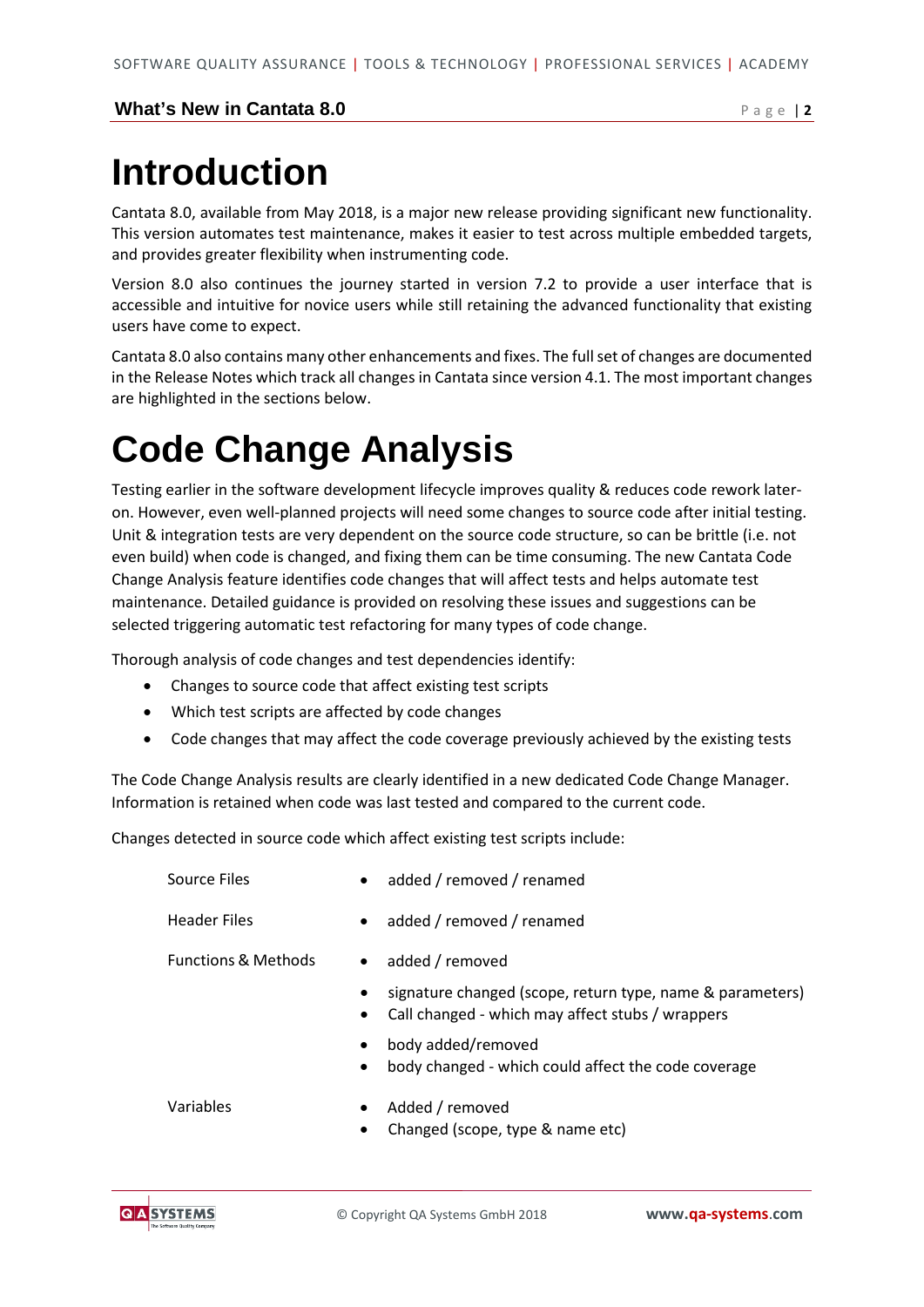## **Introduction**

Cantata 8.0, available from May 2018, is a major new release providing significant new functionality. This version automates test maintenance, makes it easier to test across multiple embedded targets, and provides greater flexibility when instrumenting code.

Version 8.0 also continues the journey started in version 7.2 to provide a user interface that is accessible and intuitive for novice users while still retaining the advanced functionality that existing users have come to expect.

Cantata 8.0 also contains many other enhancements and fixes. The full set of changes are documented in the Release Notes which track all changes in Cantata since version 4.1. The most important changes are highlighted in the sections below.

## **Code Change Analysis**

Testing earlier in the software development lifecycle improves quality & reduces code rework lateron. However, even well-planned projects will need some changes to source code after initial testing. Unit & integration tests are very dependent on the source code structure, so can be brittle (i.e. not even build) when code is changed, and fixing them can be time consuming. The new Cantata Code Change Analysis feature identifies code changes that will affect tests and helps automate test maintenance. Detailed guidance is provided on resolving these issues and suggestions can be selected triggering automatic test refactoring for many types of code change.

Thorough analysis of code changes and test dependencies identify:

- Changes to source code that affect existing test scripts
- Which test scripts are affected by code changes
- Code changes that may affect the code coverage previously achieved by the existing tests

The Code Change Analysis results are clearly identified in a new dedicated Code Change Manager. Information is retained when code was last tested and compared to the current code.

Changes detected in source code which affect existing test scripts include:

| Source Files                   | $\bullet$              | added / removed / renamed                                                                                     |
|--------------------------------|------------------------|---------------------------------------------------------------------------------------------------------------|
| <b>Header Files</b>            | $\bullet$              | added / removed / renamed                                                                                     |
| <b>Functions &amp; Methods</b> | $\bullet$              | added / removed                                                                                               |
|                                | $\bullet$              | signature changed (scope, return type, name & parameters)<br>Call changed - which may affect stubs / wrappers |
|                                | $\bullet$<br>$\bullet$ | body added/removed<br>body changed - which could affect the code coverage                                     |
| Variables                      |                        | Added / removed<br>Changed (scope, type & name etc)                                                           |

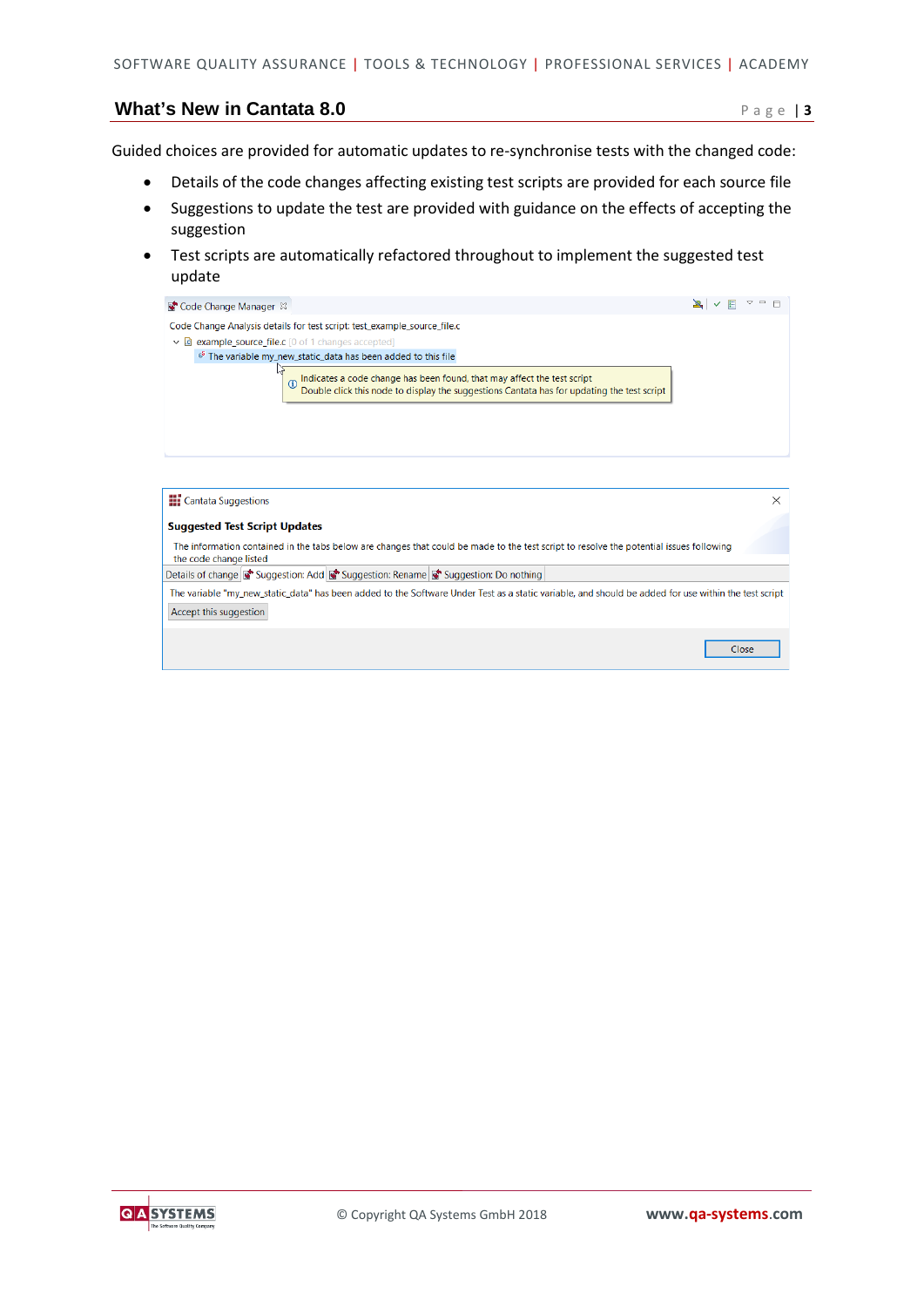Guided choices are provided for automatic updates to re-synchronise tests with the changed code:

- Details of the code changes affecting existing test scripts are provided for each source file
- Suggestions to update the test are provided with guidance on the effects of accepting the suggestion
- Test scripts are automatically refactored throughout to implement the suggested test update

| Code Change Manager &                                                                                                                                                                   |  |
|-----------------------------------------------------------------------------------------------------------------------------------------------------------------------------------------|--|
| Code Change Analysis details for test script: test_example_source_file.c                                                                                                                |  |
| $\vee$ <b>c</b> example source file.c [0 of 1 changes accepted]                                                                                                                         |  |
| <sup>68</sup> The variable my_new_static_data has been added to this file                                                                                                               |  |
| Indicates a code change has been found, that may affect the test script<br>Double click this node to display the suggestions Cantata has for updating the test script<br>$\overline{a}$ |  |
|                                                                                                                                                                                         |  |

| <b>THE</b> Cantata Suggestions                                                                                                                                    |       |
|-------------------------------------------------------------------------------------------------------------------------------------------------------------------|-------|
| <b>Suggested Test Script Updates</b>                                                                                                                              |       |
| The information contained in the tabs below are changes that could be made to the test script to resolve the potential issues following<br>the code change listed |       |
| Details of change <b>T</b> Suggestion: Add <b>T</b> Suggestion: Rename <b>T</b> Suggestion: Do nothing                                                            |       |
| The variable "my new static data" has been added to the Software Under Test as a static variable, and should be added for use within the test script              |       |
| Accept this suggestion                                                                                                                                            |       |
|                                                                                                                                                                   |       |
|                                                                                                                                                                   | Close |
|                                                                                                                                                                   |       |

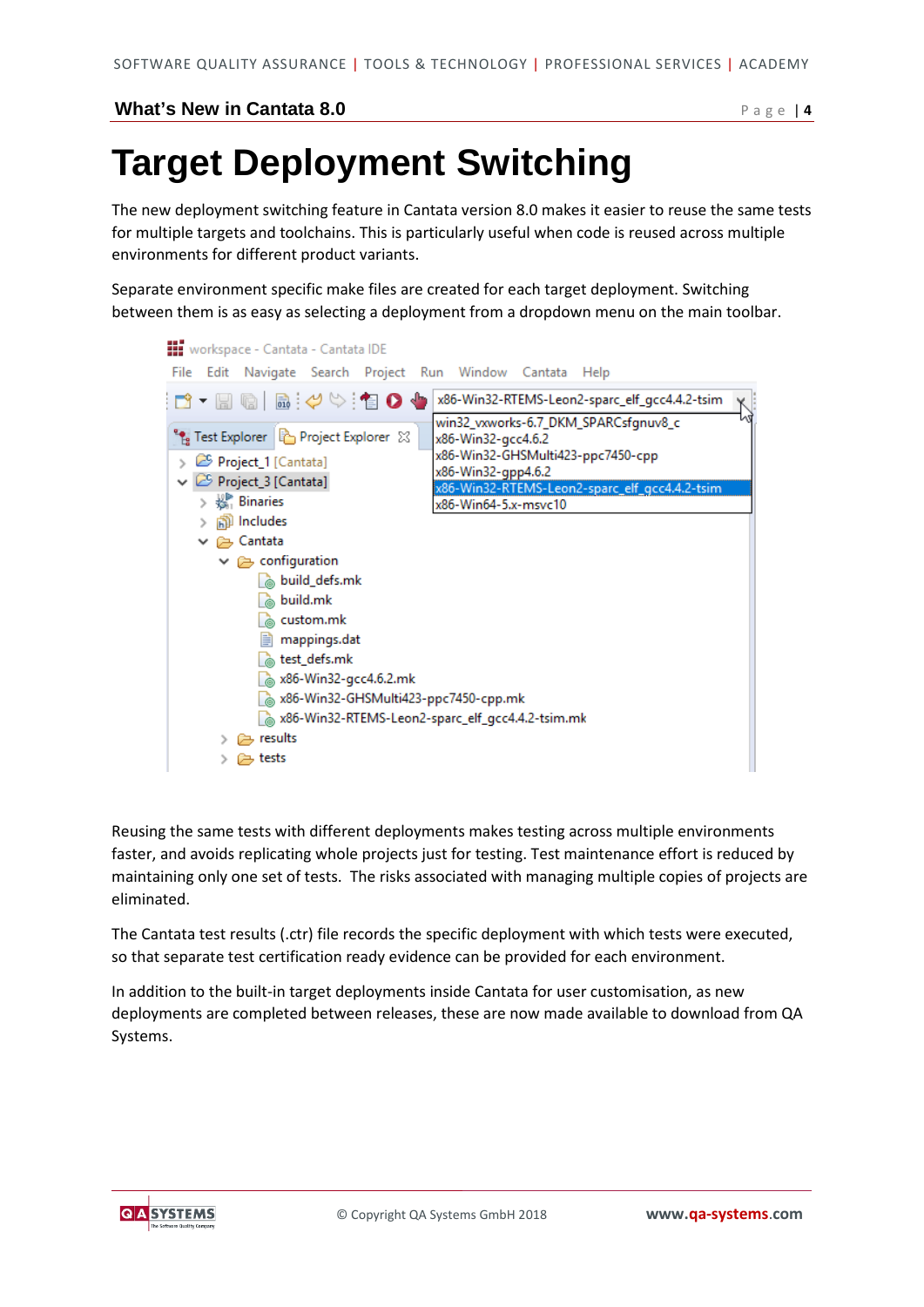## **Target Deployment Switching**

The new deployment switching feature in Cantata version 8.0 makes it easier to reuse the same tests for multiple targets and toolchains. This is particularly useful when code is reused across multiple environments for different product variants.

Separate environment specific make files are created for each target deployment. Switching between them is as easy as selecting a deployment from a dropdown menu on the main toolbar.



Reusing the same tests with different deployments makes testing across multiple environments faster, and avoids replicating whole projects just for testing. Test maintenance effort is reduced by maintaining only one set of tests. The risks associated with managing multiple copies of projects are eliminated.

The Cantata test results (.ctr) file records the specific deployment with which tests were executed, so that separate test certification ready evidence can be provided for each environment.

In addition to the built-in target deployments inside Cantata for user customisation, as new deployments are completed between releases, these are now made available to download from QA Systems.

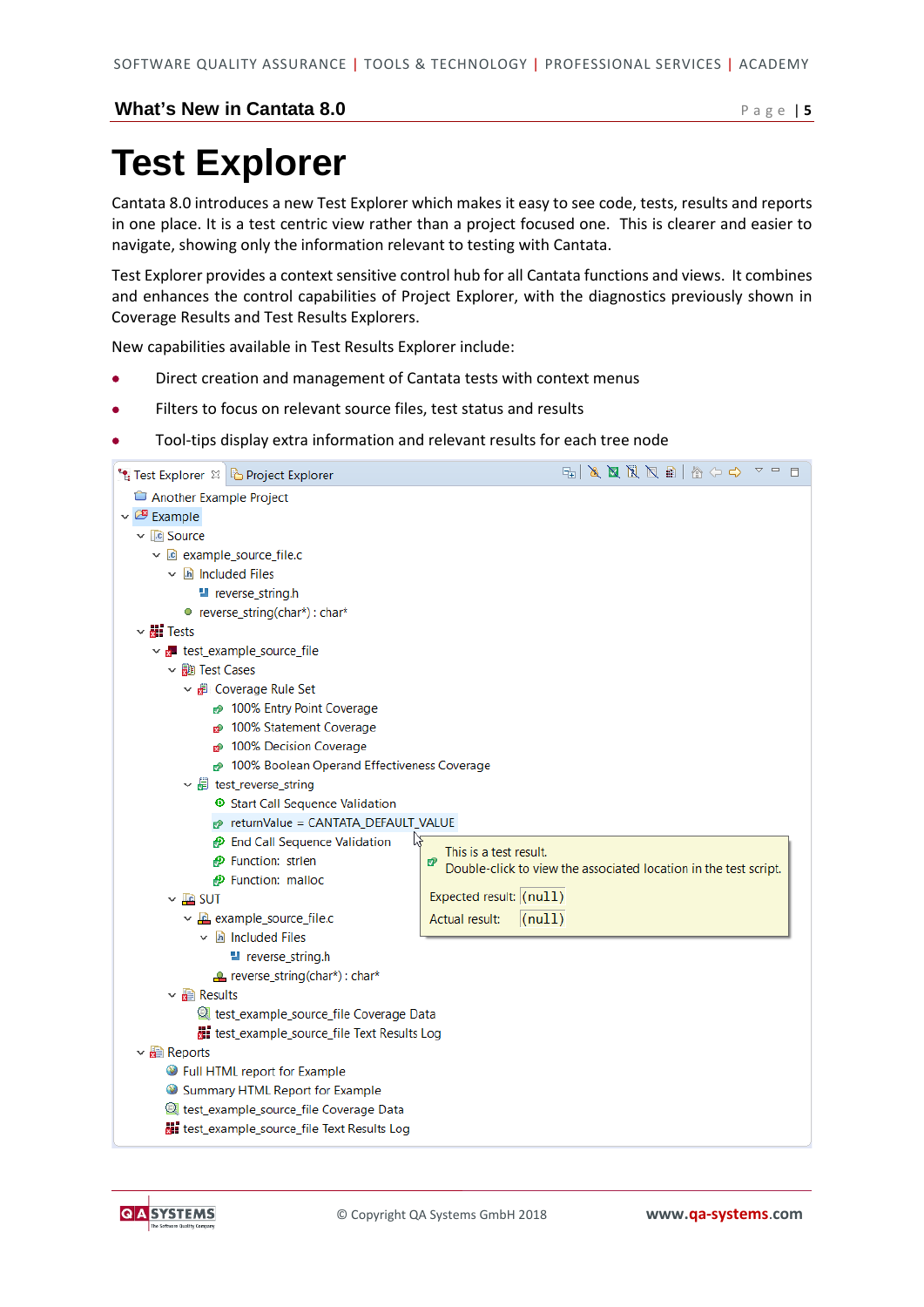## **Test Explorer**

Cantata 8.0 introduces a new Test Explorer which makes it easy to see code, tests, results and reports in one place. It is a test centric view rather than a project focused one. This is clearer and easier to navigate, showing only the information relevant to testing with Cantata.

Test Explorer provides a context sensitive control hub for all Cantata functions and views. It combines and enhances the control capabilities of Project Explorer, with the diagnostics previously shown in Coverage Results and Test Results Explorers.

New capabilities available in Test Results Explorer include:

- Direct creation and management of Cantata tests with context menus
- Filters to focus on relevant source files, test status and results
- Tool-tips display extra information and relevant results for each tree node



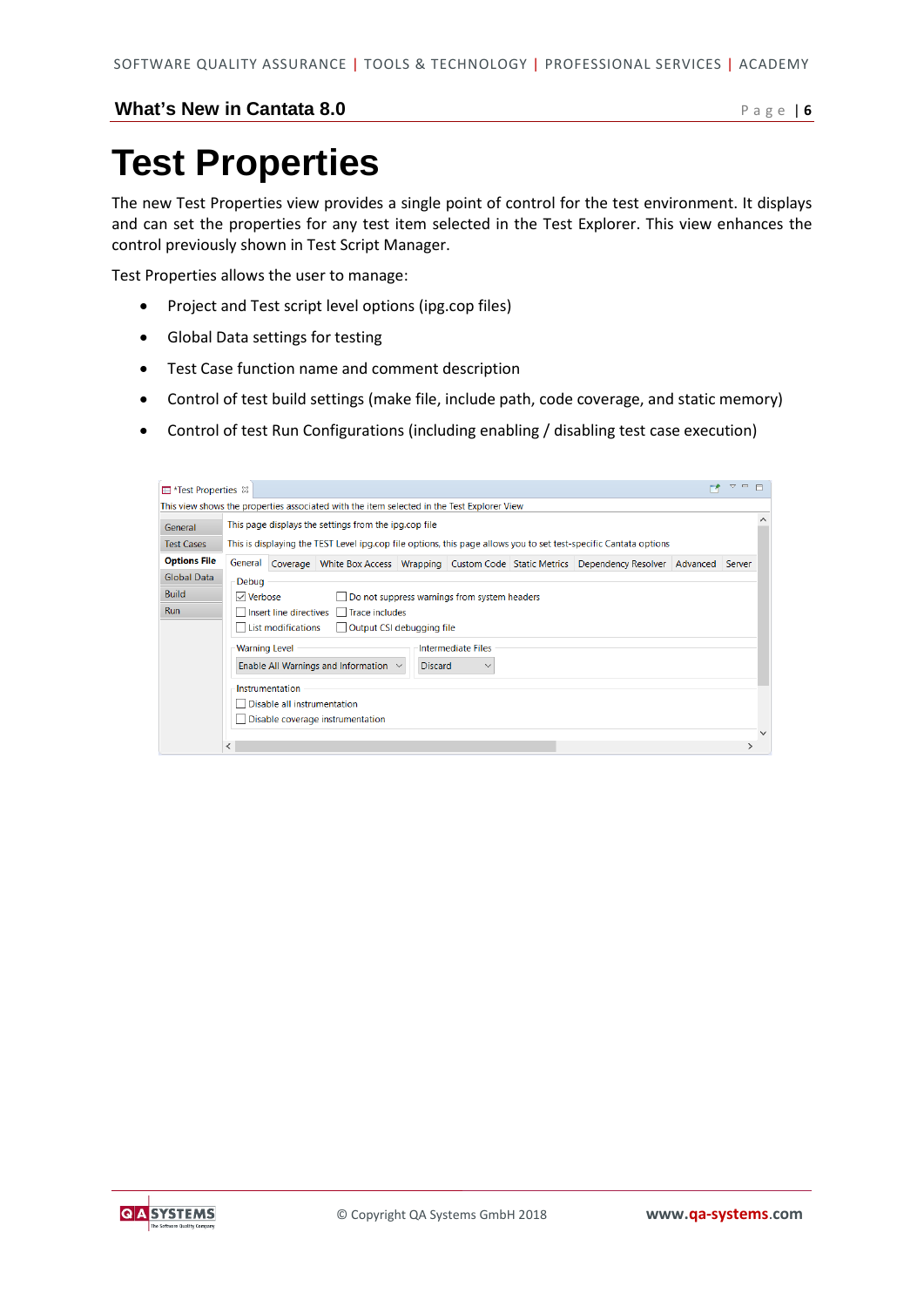## **Test Properties**

The new Test Properties view provides a single point of control for the test environment. It displays and can set the properties for any test item selected in the Test Explorer. This view enhances the control previously shown in Test Script Manager.

Test Properties allows the user to manage:

- Project and Test script level options (ipg.cop files)
- Global Data settings for testing
- Test Case function name and comment description
- Control of test build settings (make file, include path, code coverage, and static memory)
- Control of test Run Configurations (including enabling / disabling test case execution)

| <b>E</b> *Test Properties $\%$ |                      |                             |                                                                                            |                |                                              |                                                                                                                   | $\qquad \qquad \Box$<br>$\triangledown$ |
|--------------------------------|----------------------|-----------------------------|--------------------------------------------------------------------------------------------|----------------|----------------------------------------------|-------------------------------------------------------------------------------------------------------------------|-----------------------------------------|
|                                |                      |                             | This view shows the properties associated with the item selected in the Test Explorer View |                |                                              |                                                                                                                   |                                         |
| General                        |                      |                             | This page displays the settings from the ipg.cop file                                      |                |                                              |                                                                                                                   |                                         |
| <b>Test Cases</b>              |                      |                             |                                                                                            |                |                                              | This is displaying the TEST Level ipg.cop file options, this page allows you to set test-specific Cantata options |                                         |
| <b>Options File</b>            | General              |                             |                                                                                            |                |                                              | Coverage White Box Access Wrapping Custom Code Static Metrics Dependency Resolver Advanced Server                 |                                         |
| Global Data                    | Debug                |                             |                                                                                            |                |                                              |                                                                                                                   |                                         |
| <b>Build</b>                   | $\sqrt{ }$ Verbose   |                             |                                                                                            |                | Do not suppress warnings from system headers |                                                                                                                   |                                         |
| <b>Run</b>                     |                      |                             | Insert line directives Trace includes                                                      |                |                                              |                                                                                                                   |                                         |
|                                |                      | List modifications          | $\Box$ Output CSI debugging file                                                           |                |                                              |                                                                                                                   |                                         |
|                                | <b>Warning Level</b> |                             |                                                                                            |                | <b>Intermediate Files</b>                    |                                                                                                                   |                                         |
|                                |                      |                             | Enable All Warnings and Information $\sim$                                                 | <b>Discard</b> |                                              |                                                                                                                   |                                         |
|                                |                      | Instrumentation             |                                                                                            |                |                                              |                                                                                                                   |                                         |
|                                |                      | Disable all instrumentation |                                                                                            |                |                                              |                                                                                                                   |                                         |
|                                |                      |                             | Disable coverage instrumentation                                                           |                |                                              |                                                                                                                   |                                         |
|                                |                      |                             |                                                                                            |                |                                              |                                                                                                                   |                                         |
|                                | ≺                    |                             |                                                                                            |                |                                              |                                                                                                                   |                                         |

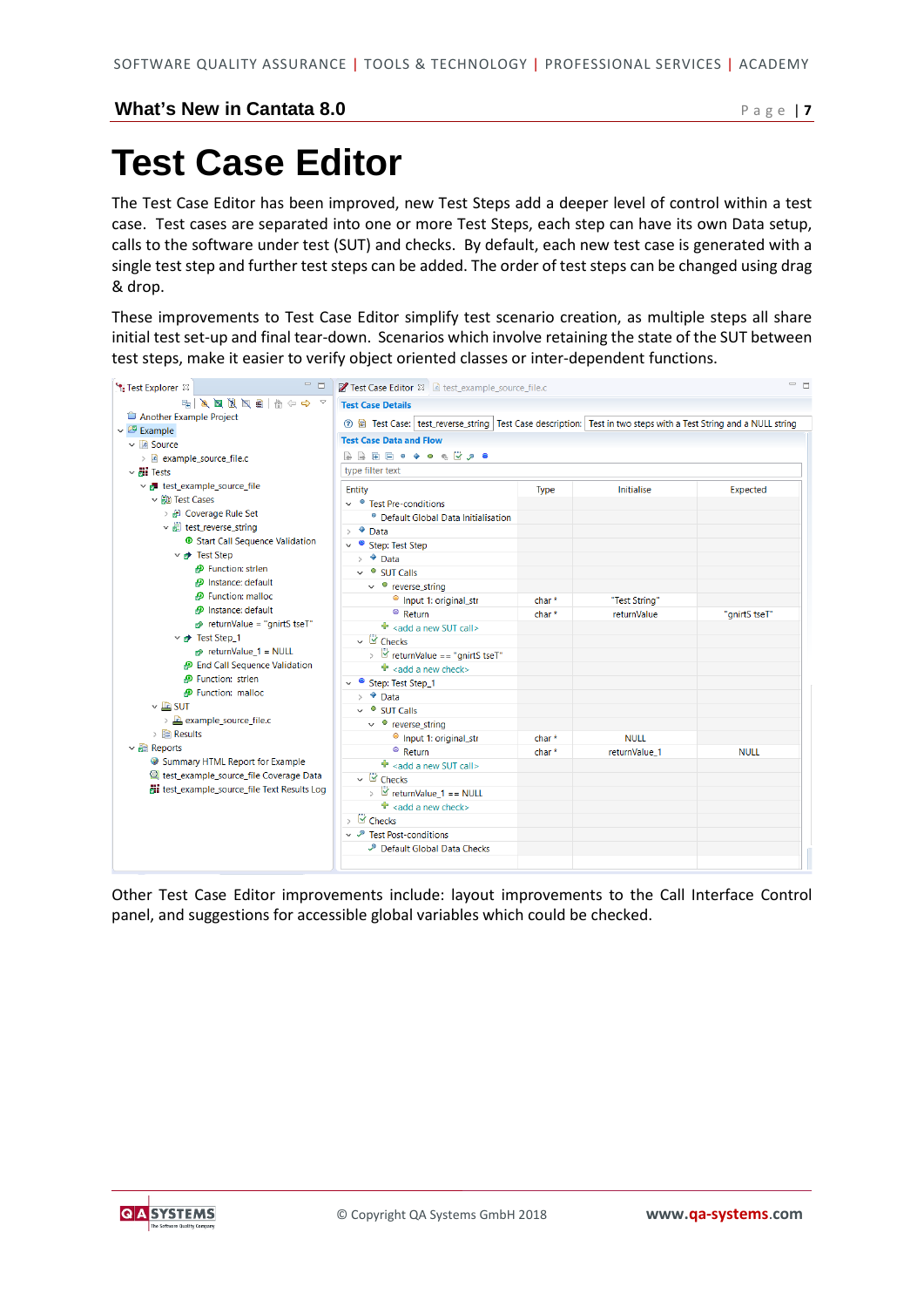## **Test Case Editor**

The Test Case Editor has been improved, new Test Steps add a deeper level of control within a test case. Test cases are separated into one or more Test Steps, each step can have its own Data setup, calls to the software under test (SUT) and checks. By default, each new test case is generated with a single test step and further test steps can be added. The order of test steps can be changed using drag & drop.

These improvements to Test Case Editor simplify test scenario creation, as multiple steps all share initial test set-up and final tear-down. Scenarios which involve retaining the state of the SUT between test steps, make it easier to verify object oriented classes or inter-dependent functions.



Other Test Case Editor improvements include: layout improvements to the Call Interface Control panel, and suggestions for accessible global variables which could be checked.

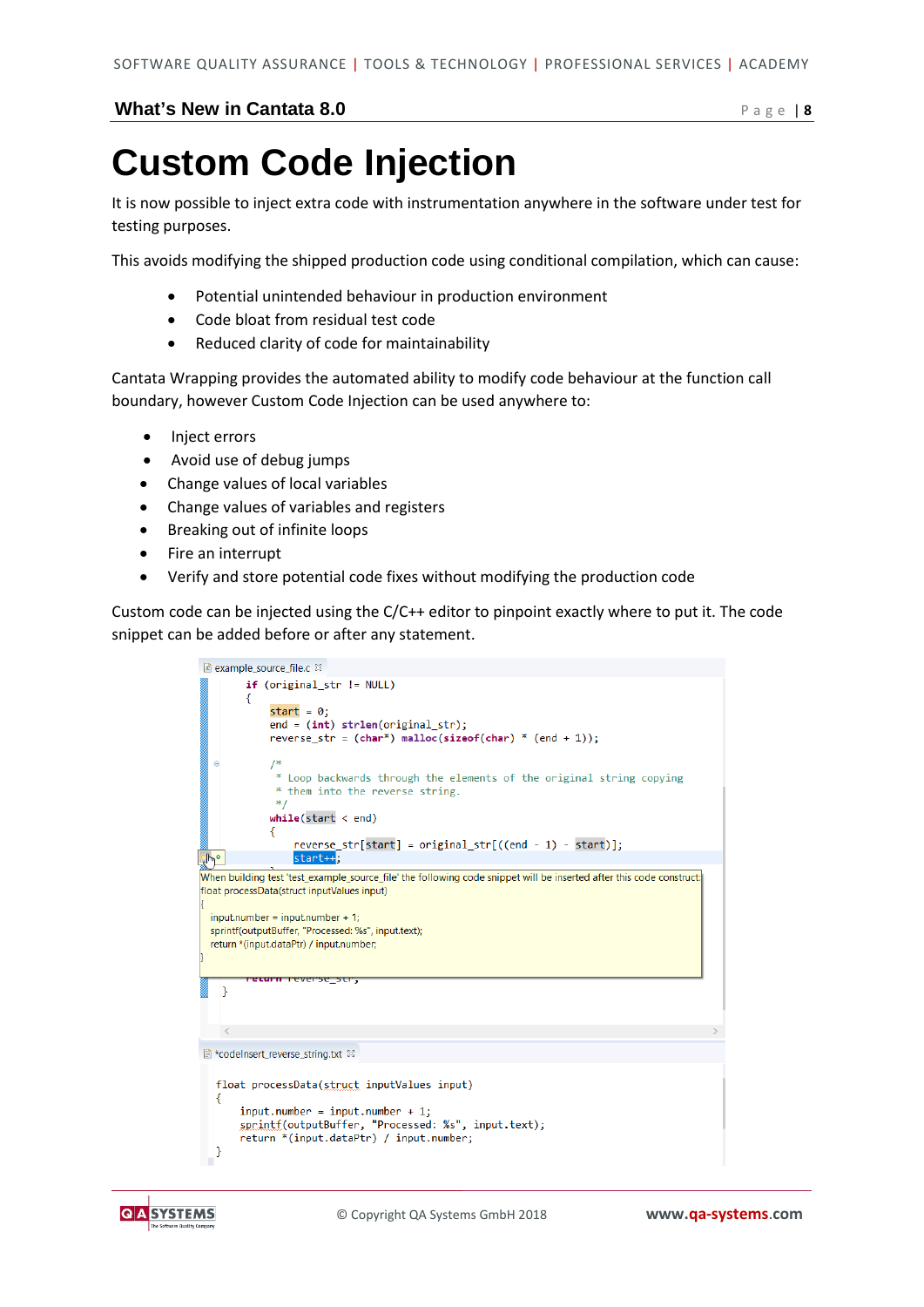## **Custom Code Injection**

It is now possible to inject extra code with instrumentation anywhere in the software under test for testing purposes.

This avoids modifying the shipped production code using conditional compilation, which can cause:

- Potential unintended behaviour in production environment
- Code bloat from residual test code
- Reduced clarity of code for maintainability

Cantata Wrapping provides the automated ability to modify code behaviour at the function call boundary, however Custom Code Injection can be used anywhere to:

- Inject errors
- Avoid use of debug jumps
- Change values of local variables
- Change values of variables and registers
- Breaking out of infinite loops
- Fire an interrupt
- Verify and store potential code fixes without modifying the production code

Custom code can be injected using the C/C++ editor to pinpoint exactly where to put it. The code snippet can be added before or after any statement.

| c example source file.c &                                                                                                                                                                                                                                                                                                              |
|----------------------------------------------------------------------------------------------------------------------------------------------------------------------------------------------------------------------------------------------------------------------------------------------------------------------------------------|
| $if (original str != NULL)$<br>€<br>start = $0$ ;<br>$end = (int) strlen(original_str);$<br>reverse str = $(char*)$ malloc(sizeof(char) * $(end + 1)$ ;                                                                                                                                                                                |
| /*<br>⊜<br>* Loop backwards through the elements of the original string copying<br>* them into the reverse string.<br>$*$<br>while(start < end)<br>Ł                                                                                                                                                                                   |
| $reverse_str[start] = original_str[(end - 1) - start)];$<br>start++;<br>qlm°                                                                                                                                                                                                                                                           |
| When building test 'test_example_source_file' the following code snippet will be inserted after this code construct:<br>float processData(struct inputValues input)<br>$input_number = input_number + 1;$<br>sprintf(outputBuffer, "Processed: %s", input.text);<br>return *(input.dataPtr) / input.number;<br>eturn reverse str,<br>γ |
|                                                                                                                                                                                                                                                                                                                                        |
| ≺                                                                                                                                                                                                                                                                                                                                      |
| ■ *codeInsert_reverse_string.txt ※                                                                                                                                                                                                                                                                                                     |
| float processData(struct inputValues input)<br>€<br>$input_number = input_number + 1$ ;<br>sprintf(outputBuffer, "Processed: %s", input.text);<br>return *(input.dataPtr) / input.number;<br>}                                                                                                                                         |

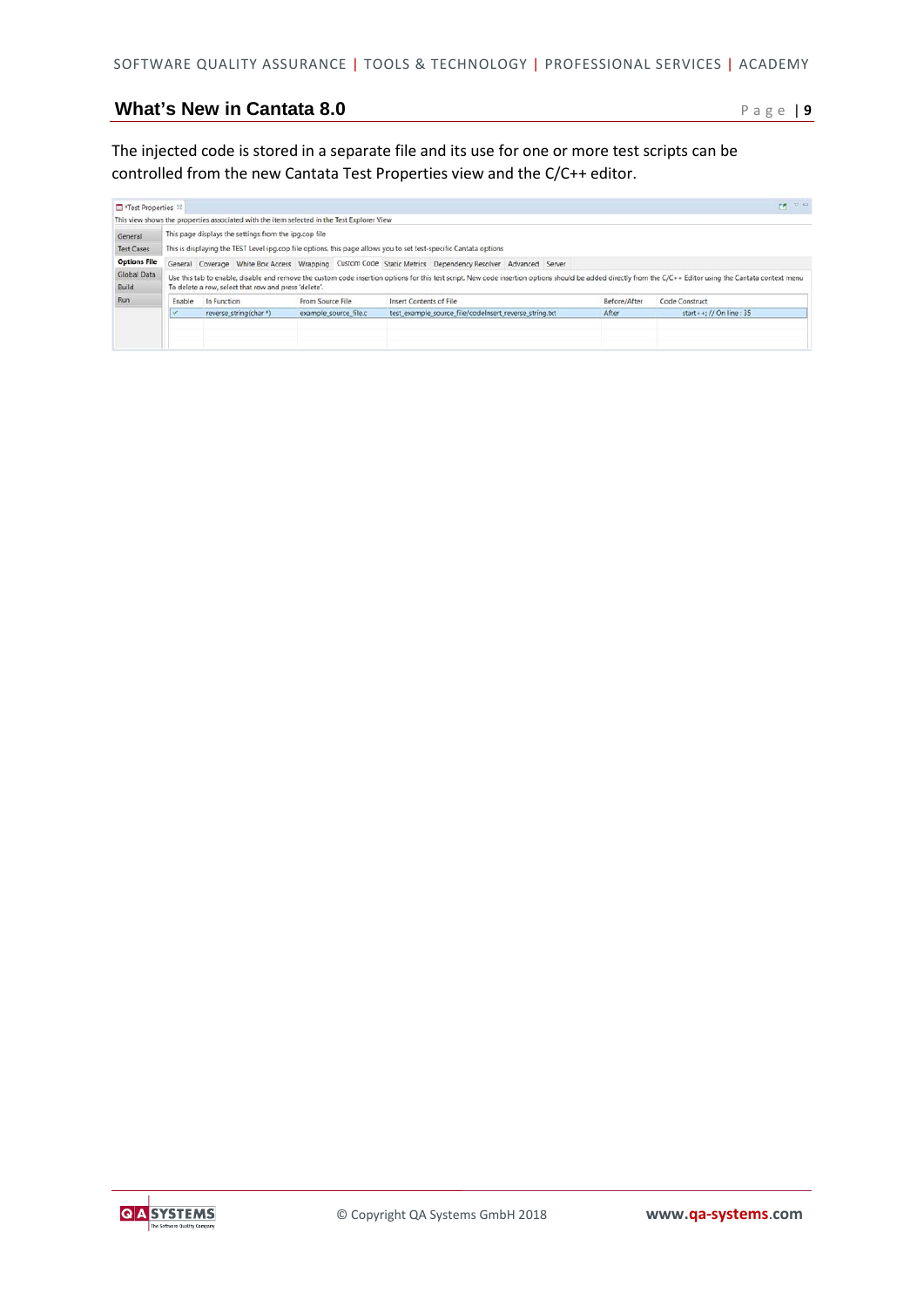The injected code is stored in a separate file and its use for one or more test scripts can be controlled from the new Cantata Test Properties view and the C/C++ editor.

| Test Properties 23           |                                                                                                                                                                                                                                                                     |                                                       | This view shows the properties associated with the item selected in the Test Explorer View |                                                                                                                   |              | $\mathbb{R}$ $\mathbb{R}$ $\mathbb{R}$ |  |  |  |
|------------------------------|---------------------------------------------------------------------------------------------------------------------------------------------------------------------------------------------------------------------------------------------------------------------|-------------------------------------------------------|--------------------------------------------------------------------------------------------|-------------------------------------------------------------------------------------------------------------------|--------------|----------------------------------------|--|--|--|
| General<br><b>Test Cases</b> |                                                                                                                                                                                                                                                                     | This page displays the settings from the ipg.cop file |                                                                                            | This is displaying the TEST Level ipg.cop file options, this page allows you to set test-specific Cantata options |              |                                        |  |  |  |
| <b>Options File</b>          |                                                                                                                                                                                                                                                                     |                                                       |                                                                                            | General Coverage White Box Access Wrapping Custom Code Static Metrics Dependency Resolver Advanced Server         |              |                                        |  |  |  |
| Global Data                  | Use this tab to enable, disable and remove the custom code insertion options for this test script. New code insertion options should be added directly from the C/C++ Editor using the Cantata context menu<br>To delete a row, select that row and press 'delete'. |                                                       |                                                                                            |                                                                                                                   |              |                                        |  |  |  |
|                              |                                                                                                                                                                                                                                                                     |                                                       |                                                                                            |                                                                                                                   |              |                                        |  |  |  |
| <b>Build</b><br>Run          | Enable                                                                                                                                                                                                                                                              | In Function                                           | From Source File                                                                           | Insert Contents of File                                                                                           | Before/After | Code Construct                         |  |  |  |
|                              |                                                                                                                                                                                                                                                                     | reverse string(char*)                                 | example source file.c                                                                      | test example source file/codelnsert reverse string.txt                                                            | After        | start + +: // On line : 35             |  |  |  |